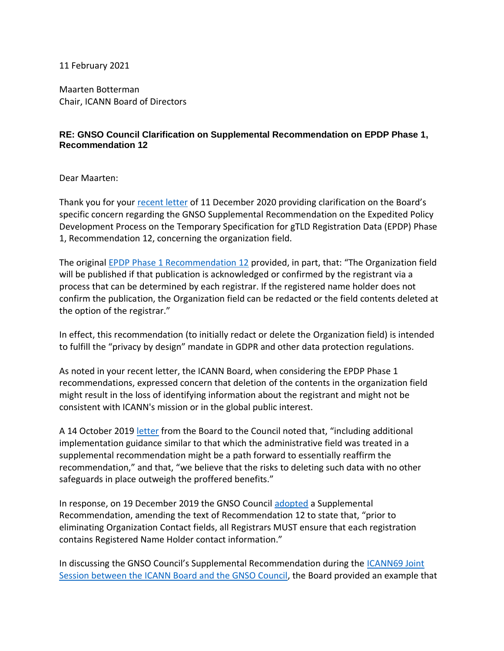11 February 2021

Maarten Botterman Chair, ICANN Board of Directors

## **RE: GNSO Council Clarification on Supplemental Recommendation on EPDP Phase 1, Recommendation 12**

Dear Maarten:

Thank you for your [recent letter](https://www.icann.org/en/system/files/correspondence/botterman-to-fouquart-11dec20-en.pdf) of 11 December 2020 providing clarification on the Board's specific concern regarding the GNSO Supplemental Recommendation on the Expedited Policy Development Process on the Temporary Specification for gTLD Registration Data (EPDP) Phase 1, Recommendation 12, concerning the organization field.

The original [EPDP Phase 1 Recommendation 12](https://gnso.icann.org/sites/default/files/file/field-file-attach/epdp-gtld-registration-data-specs-final-20feb19-en.pdf) provided, in part, that: "The Organization field will be published if that publication is acknowledged or confirmed by the registrant via a process that can be determined by each registrar. If the registered name holder does not confirm the publication, the Organization field can be redacted or the field contents deleted at the option of the registrar."

In effect, this recommendation (to initially redact or delete the Organization field) is intended to fulfill the "privacy by design" mandate in GDPR and other data protection regulations.

As noted in your recent letter, the ICANN Board, when considering the EPDP Phase 1 recommendations, expressed concern that deletion of the contents in the organization field might result in the loss of identifying information about the registrant and might not be consistent with ICANN's mission or in the global public interest.

A 14 October 2019 [letter](https://gnso.icann.org/sites/default/files/file/field-file-attach/chalaby-to-drazek-14oct19-en.pdf) from the Board to the Council noted that, "including additional implementation guidance similar to that which the administrative field was treated in a supplemental recommendation might be a path forward to essentially reaffirm the recommendation," and that, "we believe that the risks to deleting such data with no other safeguards in place outweigh the proffered benefits."

In response, on 19 December 2019 the GNSO Council [adopted](https://gnso.icann.org/en/council/resolutions#201912) a Supplemental Recommendation, amending the text of Recommendation 12 to state that, "prior to eliminating Organization Contact fields, all Registrars MUST ensure that each registration contains Registered Name Holder contact information."

In discussing the GNSO Council's Supplemental Recommendation during the [ICANN69 Joint](https://69.schedule.icann.org/meetings/mRkJDwwa4QPwyMRh5#/?limit=10&sortByFields%5B0%5D=isPinned&sortByFields%5B1%5D=lastActivityAt&sortByOrders%5B0%5D=-1&sortByOrders%5B1%5D=-1&uid=a6ijir8iemBHYWRru)  [Session between the ICANN Board and the GNSO Council,](https://69.schedule.icann.org/meetings/mRkJDwwa4QPwyMRh5#/?limit=10&sortByFields%5B0%5D=isPinned&sortByFields%5B1%5D=lastActivityAt&sortByOrders%5B0%5D=-1&sortByOrders%5B1%5D=-1&uid=a6ijir8iemBHYWRru) the Board provided an example that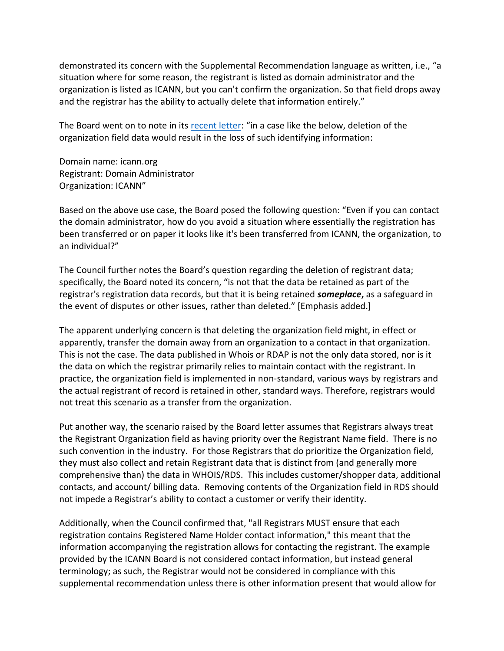demonstrated its concern with the Supplemental Recommendation language as written, i.e., "a situation where for some reason, the registrant is listed as domain administrator and the organization is listed as ICANN, but you can't confirm the organization. So that field drops away and the registrar has the ability to actually delete that information entirely."

The Board went on to note in its [recent letter](https://www.icann.org/en/system/files/correspondence/botterman-to-fouquart-11dec20-en.pdf): "in a case like the below, deletion of the organization field data would result in the loss of such identifying information:

Domain name: icann.org Registrant: Domain Administrator Organization: ICANN"

Based on the above use case, the Board posed the following question: "Even if you can contact the domain administrator, how do you avoid a situation where essentially the registration has been transferred or on paper it looks like it's been transferred from ICANN, the organization, to an individual?"

The Council further notes the Board's question regarding the deletion of registrant data; specifically, the Board noted its concern, "is not that the data be retained as part of the registrar's registration data records, but that it is being retained *someplace***,** as a safeguard in the event of disputes or other issues, rather than deleted." [Emphasis added.]

The apparent underlying concern is that deleting the organization field might, in effect or apparently, transfer the domain away from an organization to a contact in that organization. This is not the case. The data published in Whois or RDAP is not the only data stored, nor is it the data on which the registrar primarily relies to maintain contact with the registrant. In practice, the organization field is implemented in non-standard, various ways by registrars and the actual registrant of record is retained in other, standard ways. Therefore, registrars would not treat this scenario as a transfer from the organization.

Put another way, the scenario raised by the Board letter assumes that Registrars always treat the Registrant Organization field as having priority over the Registrant Name field. There is no such convention in the industry. For those Registrars that do prioritize the Organization field, they must also collect and retain Registrant data that is distinct from (and generally more comprehensive than) the data in WHOIS/RDS. This includes customer/shopper data, additional contacts, and account/ billing data. Removing contents of the Organization field in RDS should not impede a Registrar's ability to contact a customer or verify their identity.

Additionally, when the Council confirmed that, "all Registrars MUST ensure that each registration contains Registered Name Holder contact information," this meant that the information accompanying the registration allows for contacting the registrant. The example provided by the ICANN Board is not considered contact information, but instead general terminology; as such, the Registrar would not be considered in compliance with this supplemental recommendation unless there is other information present that would allow for